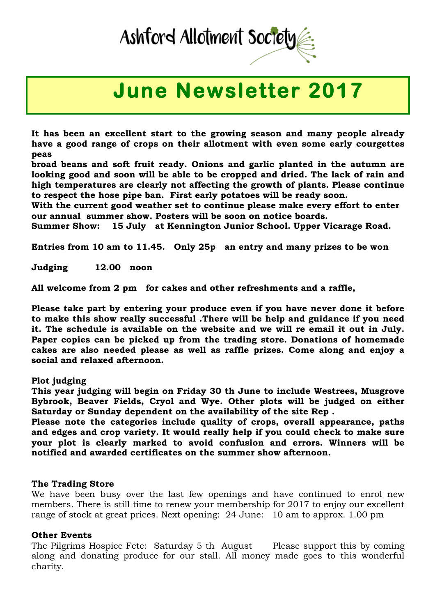# Ashford Allotment Society

## **June Newsletter 2017**

**It has been an excellent start to the growing season and many people already have a good range of crops on their allotment with even some early courgettes peas** 

**broad beans and soft fruit ready. Onions and garlic planted in the autumn are looking good and soon will be able to be cropped and dried. The lack of rain and high temperatures are clearly not affecting the growth of plants. Please continue to respect the hose pipe ban. First early potatoes will be ready soon.**

**With the current good weather set to continue please make every effort to enter our annual summer show. Posters will be soon on notice boards.**

**Summer Show: 15 July at Kennington Junior School. Upper Vicarage Road.**

**Entries from 10 am to 11.45. Only 25p an entry and many prizes to be won** 

**Judging 12.00 noon** 

**All welcome from 2 pm for cakes and other refreshments and a raffle,** 

**Please take part by entering your produce even if you have never done it before to make this show really successful .There will be help and guidance if you need it. The schedule is available on the website and we will re email it out in July. Paper copies can be picked up from the trading store. Donations of homemade cakes are also needed please as well as raffle prizes. Come along and enjoy a social and relaxed afternoon.**

### **Plot judging**

**This year judging will begin on Friday 30 th June to include Westrees, Musgrove Bybrook, Beaver Fields, Cryol and Wye. Other plots will be judged on either Saturday or Sunday dependent on the availability of the site Rep .**

**Please note the categories include quality of crops, overall appearance, paths and edges and crop variety. It would really help if you could check to make sure your plot is clearly marked to avoid confusion and errors. Winners will be notified and awarded certificates on the summer show afternoon.**

### **The Trading Store**

We have been busy over the last few openings and have continued to enrol new members. There is still time to renew your membership for 2017 to enjoy our excellent range of stock at great prices. Next opening: 24 June: 10 am to approx. 1.00 pm

### **Other Events**

The Pilgrims Hospice Fete: Saturday 5 th August Please support this by coming along and donating produce for our stall. All money made goes to this wonderful charity.